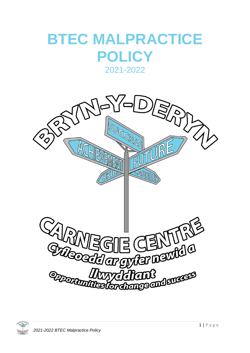## **BTEC MALPRACTICE POLICY**

2021-2022



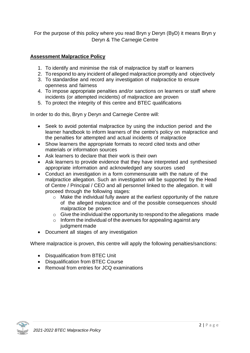For the purpose of this policy where you read Bryn y Deryn (ByD) it means Bryn y Deryn & The Carnegie Centre

## **Assessment Malpractice Policy**

- 1. To identify and minimise the risk of malpractice by staff or learners
- 2. To respond to any incident of alleged malpractice promptly and objectively
- 3. To standardise and record any investigation of malpractice to ensure openness and fairness
- 4. To impose appropriate penalties and/or sanctions on learners or staff where incidents (or attempted incidents) of malpractice are proven
- 5. To protect the integrity of this centre and BTEC qualifications

In order to do this, Bryn y Deryn and Carnegie Centre will:

- Seek to avoid potential malpractice by using the induction period and the learner handbook to inform learners of the centre's policy on malpractice and the penalties for attempted and actual incidents of malpractice
- Show learners the appropriate formats to record cited texts and other materials or information sources
- Ask learners to declare that their work is their own
- Ask learners to provide evidence that they have interpreted and synthesised appropriate information and acknowledged any sources used
- Conduct an investigation in a form commensurate with the nature of the malpractice allegation. Such an investigation will be supported by the Head of Centre / Principal / CEO and all personnel linked to the allegation. It will proceed through the following stages:
	- o Make the individual fully aware at the earliest opportunity of the nature of the alleged malpractice and of the possible consequences should malpractice be proven
	- $\circ$  Give the individual the opportunity to respond to the allegations made
	- $\circ$  Inform the individual of the avenues for appealing against any judgment made
- Document all stages of any investigation

Where malpractice is proven, this centre will apply the following penalties/sanctions:

- Disqualification from BTEC Unit
- Disqualification from BTEC Course
- Removal from entries for JCQ examinations

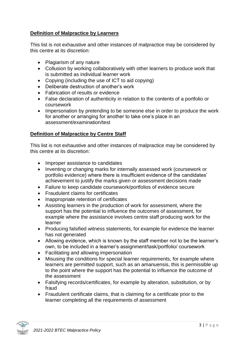## **Definition of Malpractice by Learners**

This list is not exhaustive and other instances of malpractice may be considered by this centre at its discretion:

- Plagiarism of any nature
- Collusion by working collaboratively with other learners to produce work that is submitted as individual learner work
- Copying (including the use of ICT to aid copying)
- Deliberate destruction of another's work
- Fabrication of results or evidence
- False declaration of authenticity in relation to the contents of a portfolio or coursework
- Impersonation by pretending to be someone else in order to produce the work for another or arranging for another to take one's place in an assessment/examination/test

## **Definition of Malpractice by Centre Staff**

This list is not exhaustive and other instances of malpractice may be considered by this centre at its discretion:

- Improper assistance to candidates
- Inventing or changing marks for internally assessed work (coursework or portfolio evidence) where there is insufficient evidence of the candidates' achievement to justify the marks given or assessment decisions made
- Failure to keep candidate coursework/portfolios of evidence secure
- Fraudulent claims for certificates
- Inappropriate retention of certificates
- Assisting learners in the production of work for assessment, where the support has the potential to influence the outcomes of assessment, for example where the assistance involves centre staff producing work for the learner
- Producing falsified witness statements, for example for evidence the learner has not generated
- Allowing evidence, which is known by the staff member not to be the learner's own, to be included in a learner's assignment/task/portfolio/ coursework
- Facilitating and allowing impersonation
- Misusing the conditions for special learner requirements, for example where learners are permitted support, such as an amanuensis, this is permissible up to the point where the support has the potential to influence the outcome of the assessment
- Falsifying records/certificates, for example by alteration, substitution, or by fraud
- Fraudulent certificate claims, that is claiming for a certificate prior to the learner completing all the requirements of assessment